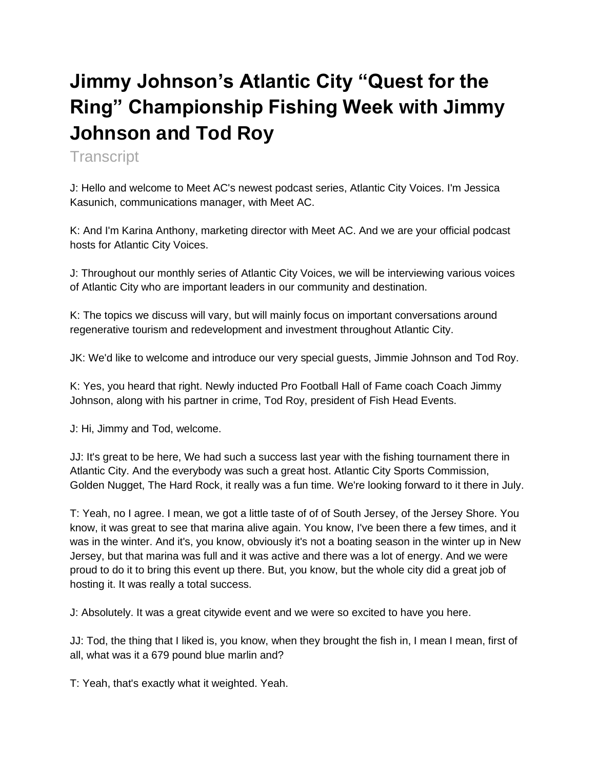# **Jimmy Johnson's Atlantic City "Quest for the Ring" Championship Fishing Week with Jimmy Johnson and Tod Roy**

**Transcript** 

J: Hello and welcome to Meet AC's newest podcast series, Atlantic City Voices. I'm Jessica Kasunich, communications manager, with Meet AC.

K: And I'm Karina Anthony, marketing director with Meet AC. And we are your official podcast hosts for Atlantic City Voices.

J: Throughout our monthly series of Atlantic City Voices, we will be interviewing various voices of Atlantic City who are important leaders in our community and destination.

K: The topics we discuss will vary, but will mainly focus on important conversations around regenerative tourism and redevelopment and investment throughout Atlantic City.

JK: We'd like to welcome and introduce our very special guests, Jimmie Johnson and Tod Roy.

K: Yes, you heard that right. Newly inducted Pro Football Hall of Fame coach Coach Jimmy Johnson, along with his partner in crime, Tod Roy, president of Fish Head Events.

J: Hi, Jimmy and Tod, welcome.

JJ: It's great to be here, We had such a success last year with the fishing tournament there in Atlantic City. And the everybody was such a great host. Atlantic City Sports Commission, Golden Nugget, The Hard Rock, it really was a fun time. We're looking forward to it there in July.

T: Yeah, no I agree. I mean, we got a little taste of of of South Jersey, of the Jersey Shore. You know, it was great to see that marina alive again. You know, I've been there a few times, and it was in the winter. And it's, you know, obviously it's not a boating season in the winter up in New Jersey, but that marina was full and it was active and there was a lot of energy. And we were proud to do it to bring this event up there. But, you know, but the whole city did a great job of hosting it. It was really a total success.

J: Absolutely. It was a great citywide event and we were so excited to have you here.

JJ: Tod, the thing that I liked is, you know, when they brought the fish in, I mean I mean, first of all, what was it a 679 pound blue marlin and?

T: Yeah, that's exactly what it weighted. Yeah.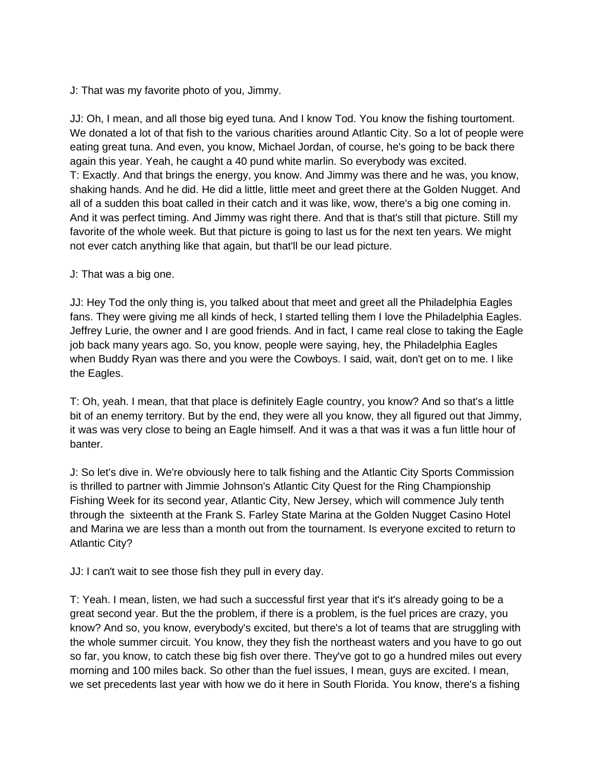J: That was my favorite photo of you, Jimmy.

JJ: Oh, I mean, and all those big eyed tuna. And I know Tod. You know the fishing tourtoment. We donated a lot of that fish to the various charities around Atlantic City. So a lot of people were eating great tuna. And even, you know, Michael Jordan, of course, he's going to be back there again this year. Yeah, he caught a 40 pund white marlin. So everybody was excited. T: Exactly. And that brings the energy, you know. And Jimmy was there and he was, you know, shaking hands. And he did. He did a little, little meet and greet there at the Golden Nugget. And all of a sudden this boat called in their catch and it was like, wow, there's a big one coming in. And it was perfect timing. And Jimmy was right there. And that is that's still that picture. Still my favorite of the whole week. But that picture is going to last us for the next ten years. We might not ever catch anything like that again, but that'll be our lead picture.

J: That was a big one.

JJ: Hey Tod the only thing is, you talked about that meet and greet all the Philadelphia Eagles fans. They were giving me all kinds of heck, I started telling them I love the Philadelphia Eagles. Jeffrey Lurie, the owner and I are good friends. And in fact, I came real close to taking the Eagle job back many years ago. So, you know, people were saying, hey, the Philadelphia Eagles when Buddy Ryan was there and you were the Cowboys. I said, wait, don't get on to me. I like the Eagles.

T: Oh, yeah. I mean, that that place is definitely Eagle country, you know? And so that's a little bit of an enemy territory. But by the end, they were all you know, they all figured out that Jimmy, it was was very close to being an Eagle himself. And it was a that was it was a fun little hour of banter.

J: So let's dive in. We're obviously here to talk fishing and the Atlantic City Sports Commission is thrilled to partner with Jimmie Johnson's Atlantic City Quest for the Ring Championship Fishing Week for its second year, Atlantic City, New Jersey, which will commence July tenth through the sixteenth at the Frank S. Farley State Marina at the Golden Nugget Casino Hotel and Marina we are less than a month out from the tournament. Is everyone excited to return to Atlantic City?

JJ: I can't wait to see those fish they pull in every day.

T: Yeah. I mean, listen, we had such a successful first year that it's it's already going to be a great second year. But the the problem, if there is a problem, is the fuel prices are crazy, you know? And so, you know, everybody's excited, but there's a lot of teams that are struggling with the whole summer circuit. You know, they they fish the northeast waters and you have to go out so far, you know, to catch these big fish over there. They've got to go a hundred miles out every morning and 100 miles back. So other than the fuel issues, I mean, guys are excited. I mean, we set precedents last year with how we do it here in South Florida. You know, there's a fishing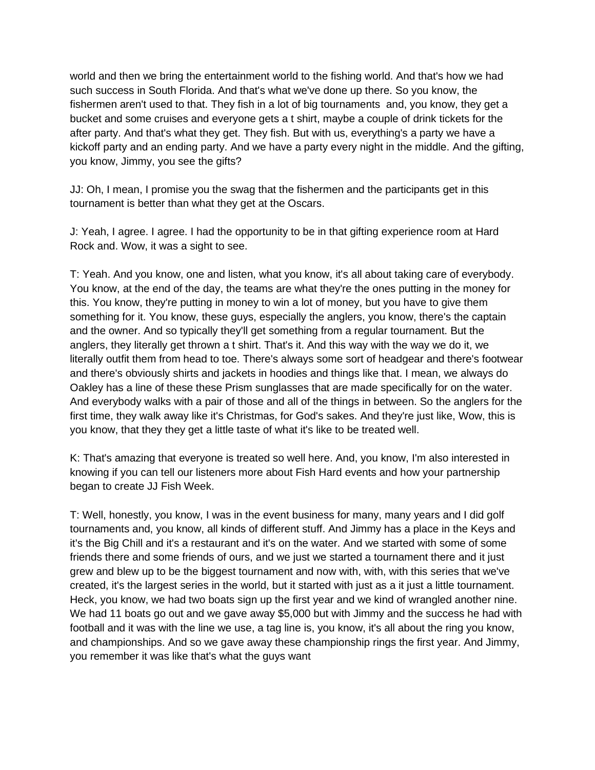world and then we bring the entertainment world to the fishing world. And that's how we had such success in South Florida. And that's what we've done up there. So you know, the fishermen aren't used to that. They fish in a lot of big tournaments and, you know, they get a bucket and some cruises and everyone gets a t shirt, maybe a couple of drink tickets for the after party. And that's what they get. They fish. But with us, everything's a party we have a kickoff party and an ending party. And we have a party every night in the middle. And the gifting, you know, Jimmy, you see the gifts?

JJ: Oh, I mean, I promise you the swag that the fishermen and the participants get in this tournament is better than what they get at the Oscars.

J: Yeah, I agree. I agree. I had the opportunity to be in that gifting experience room at Hard Rock and. Wow, it was a sight to see.

T: Yeah. And you know, one and listen, what you know, it's all about taking care of everybody. You know, at the end of the day, the teams are what they're the ones putting in the money for this. You know, they're putting in money to win a lot of money, but you have to give them something for it. You know, these guys, especially the anglers, you know, there's the captain and the owner. And so typically they'll get something from a regular tournament. But the anglers, they literally get thrown a t shirt. That's it. And this way with the way we do it, we literally outfit them from head to toe. There's always some sort of headgear and there's footwear and there's obviously shirts and jackets in hoodies and things like that. I mean, we always do Oakley has a line of these these Prism sunglasses that are made specifically for on the water. And everybody walks with a pair of those and all of the things in between. So the anglers for the first time, they walk away like it's Christmas, for God's sakes. And they're just like, Wow, this is you know, that they they get a little taste of what it's like to be treated well.

K: That's amazing that everyone is treated so well here. And, you know, I'm also interested in knowing if you can tell our listeners more about Fish Hard events and how your partnership began to create JJ Fish Week.

T: Well, honestly, you know, I was in the event business for many, many years and I did golf tournaments and, you know, all kinds of different stuff. And Jimmy has a place in the Keys and it's the Big Chill and it's a restaurant and it's on the water. And we started with some of some friends there and some friends of ours, and we just we started a tournament there and it just grew and blew up to be the biggest tournament and now with, with, with this series that we've created, it's the largest series in the world, but it started with just as a it just a little tournament. Heck, you know, we had two boats sign up the first year and we kind of wrangled another nine. We had 11 boats go out and we gave away \$5,000 but with Jimmy and the success he had with football and it was with the line we use, a tag line is, you know, it's all about the ring you know, and championships. And so we gave away these championship rings the first year. And Jimmy, you remember it was like that's what the guys want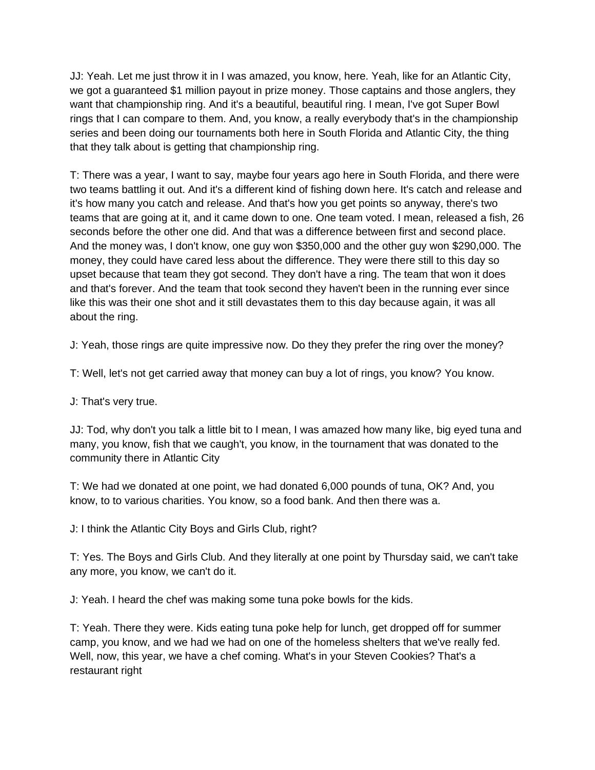JJ: Yeah. Let me just throw it in I was amazed, you know, here. Yeah, like for an Atlantic City, we got a guaranteed \$1 million payout in prize money. Those captains and those anglers, they want that championship ring. And it's a beautiful, beautiful ring. I mean, I've got Super Bowl rings that I can compare to them. And, you know, a really everybody that's in the championship series and been doing our tournaments both here in South Florida and Atlantic City, the thing that they talk about is getting that championship ring.

T: There was a year, I want to say, maybe four years ago here in South Florida, and there were two teams battling it out. And it's a different kind of fishing down here. It's catch and release and it's how many you catch and release. And that's how you get points so anyway, there's two teams that are going at it, and it came down to one. One team voted. I mean, released a fish, 26 seconds before the other one did. And that was a difference between first and second place. And the money was, I don't know, one guy won \$350,000 and the other guy won \$290,000. The money, they could have cared less about the difference. They were there still to this day so upset because that team they got second. They don't have a ring. The team that won it does and that's forever. And the team that took second they haven't been in the running ever since like this was their one shot and it still devastates them to this day because again, it was all about the ring.

J: Yeah, those rings are quite impressive now. Do they they prefer the ring over the money?

T: Well, let's not get carried away that money can buy a lot of rings, you know? You know.

J: That's very true.

JJ: Tod, why don't you talk a little bit to I mean, I was amazed how many like, big eyed tuna and many, you know, fish that we caugh't, you know, in the tournament that was donated to the community there in Atlantic City

T: We had we donated at one point, we had donated 6,000 pounds of tuna, OK? And, you know, to to various charities. You know, so a food bank. And then there was a.

J: I think the Atlantic City Boys and Girls Club, right?

T: Yes. The Boys and Girls Club. And they literally at one point by Thursday said, we can't take any more, you know, we can't do it.

J: Yeah. I heard the chef was making some tuna poke bowls for the kids.

T: Yeah. There they were. Kids eating tuna poke help for lunch, get dropped off for summer camp, you know, and we had we had on one of the homeless shelters that we've really fed. Well, now, this year, we have a chef coming. What's in your Steven Cookies? That's a restaurant right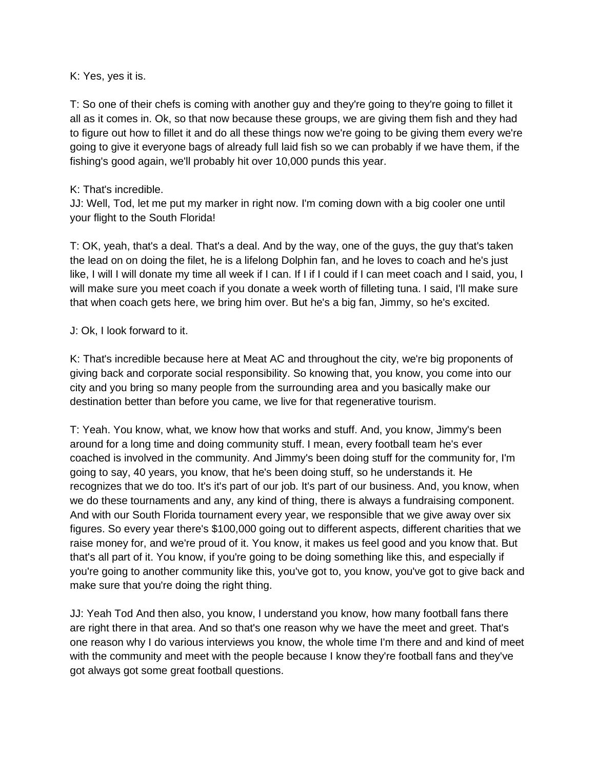K: Yes, yes it is.

T: So one of their chefs is coming with another guy and they're going to they're going to fillet it all as it comes in. Ok, so that now because these groups, we are giving them fish and they had to figure out how to fillet it and do all these things now we're going to be giving them every we're going to give it everyone bags of already full laid fish so we can probably if we have them, if the fishing's good again, we'll probably hit over 10,000 punds this year.

### K: That's incredible.

JJ: Well, Tod, let me put my marker in right now. I'm coming down with a big cooler one until your flight to the South Florida!

T: OK, yeah, that's a deal. That's a deal. And by the way, one of the guys, the guy that's taken the lead on on doing the filet, he is a lifelong Dolphin fan, and he loves to coach and he's just like, I will I will donate my time all week if I can. If I if I could if I can meet coach and I said, you, I will make sure you meet coach if you donate a week worth of filleting tuna. I said, I'll make sure that when coach gets here, we bring him over. But he's a big fan, Jimmy, so he's excited.

### J: Ok, I look forward to it.

K: That's incredible because here at Meat AC and throughout the city, we're big proponents of giving back and corporate social responsibility. So knowing that, you know, you come into our city and you bring so many people from the surrounding area and you basically make our destination better than before you came, we live for that regenerative tourism.

T: Yeah. You know, what, we know how that works and stuff. And, you know, Jimmy's been around for a long time and doing community stuff. I mean, every football team he's ever coached is involved in the community. And Jimmy's been doing stuff for the community for, I'm going to say, 40 years, you know, that he's been doing stuff, so he understands it. He recognizes that we do too. It's it's part of our job. It's part of our business. And, you know, when we do these tournaments and any, any kind of thing, there is always a fundraising component. And with our South Florida tournament every year, we responsible that we give away over six figures. So every year there's \$100,000 going out to different aspects, different charities that we raise money for, and we're proud of it. You know, it makes us feel good and you know that. But that's all part of it. You know, if you're going to be doing something like this, and especially if you're going to another community like this, you've got to, you know, you've got to give back and make sure that you're doing the right thing.

JJ: Yeah Tod And then also, you know, I understand you know, how many football fans there are right there in that area. And so that's one reason why we have the meet and greet. That's one reason why I do various interviews you know, the whole time I'm there and and kind of meet with the community and meet with the people because I know they're football fans and they've got always got some great football questions.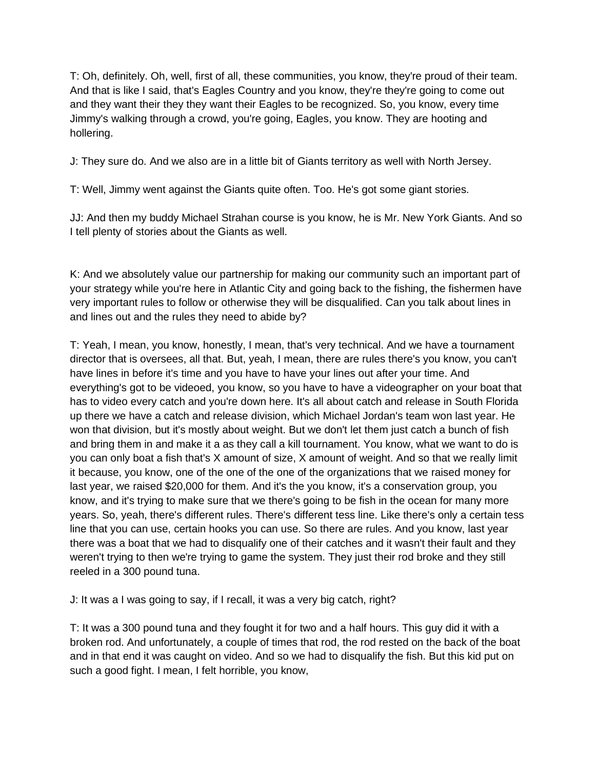T: Oh, definitely. Oh, well, first of all, these communities, you know, they're proud of their team. And that is like I said, that's Eagles Country and you know, they're they're going to come out and they want their they they want their Eagles to be recognized. So, you know, every time Jimmy's walking through a crowd, you're going, Eagles, you know. They are hooting and hollering.

J: They sure do. And we also are in a little bit of Giants territory as well with North Jersey.

T: Well, Jimmy went against the Giants quite often. Too. He's got some giant stories.

JJ: And then my buddy Michael Strahan course is you know, he is Mr. New York Giants. And so I tell plenty of stories about the Giants as well.

K: And we absolutely value our partnership for making our community such an important part of your strategy while you're here in Atlantic City and going back to the fishing, the fishermen have very important rules to follow or otherwise they will be disqualified. Can you talk about lines in and lines out and the rules they need to abide by?

T: Yeah, I mean, you know, honestly, I mean, that's very technical. And we have a tournament director that is oversees, all that. But, yeah, I mean, there are rules there's you know, you can't have lines in before it's time and you have to have your lines out after your time. And everything's got to be videoed, you know, so you have to have a videographer on your boat that has to video every catch and you're down here. It's all about catch and release in South Florida up there we have a catch and release division, which Michael Jordan's team won last year. He won that division, but it's mostly about weight. But we don't let them just catch a bunch of fish and bring them in and make it a as they call a kill tournament. You know, what we want to do is you can only boat a fish that's X amount of size, X amount of weight. And so that we really limit it because, you know, one of the one of the one of the organizations that we raised money for last year, we raised \$20,000 for them. And it's the you know, it's a conservation group, you know, and it's trying to make sure that we there's going to be fish in the ocean for many more years. So, yeah, there's different rules. There's different tess line. Like there's only a certain tess line that you can use, certain hooks you can use. So there are rules. And you know, last year there was a boat that we had to disqualify one of their catches and it wasn't their fault and they weren't trying to then we're trying to game the system. They just their rod broke and they still reeled in a 300 pound tuna.

J: It was a I was going to say, if I recall, it was a very big catch, right?

T: It was a 300 pound tuna and they fought it for two and a half hours. This guy did it with a broken rod. And unfortunately, a couple of times that rod, the rod rested on the back of the boat and in that end it was caught on video. And so we had to disqualify the fish. But this kid put on such a good fight. I mean, I felt horrible, you know,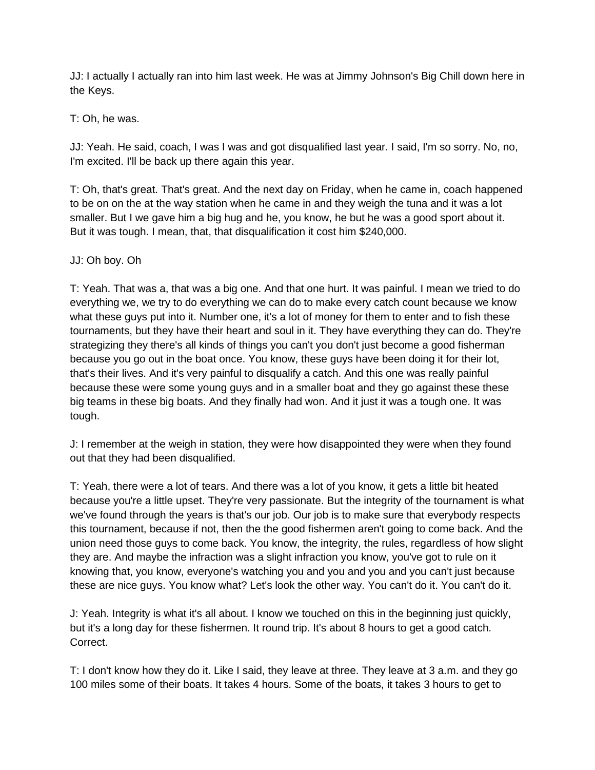JJ: I actually I actually ran into him last week. He was at Jimmy Johnson's Big Chill down here in the Keys.

T: Oh, he was.

JJ: Yeah. He said, coach, I was I was and got disqualified last year. I said, I'm so sorry. No, no, I'm excited. I'll be back up there again this year.

T: Oh, that's great. That's great. And the next day on Friday, when he came in, coach happened to be on on the at the way station when he came in and they weigh the tuna and it was a lot smaller. But I we gave him a big hug and he, you know, he but he was a good sport about it. But it was tough. I mean, that, that disqualification it cost him \$240,000.

### JJ: Oh boy. Oh

T: Yeah. That was a, that was a big one. And that one hurt. It was painful. I mean we tried to do everything we, we try to do everything we can do to make every catch count because we know what these guys put into it. Number one, it's a lot of money for them to enter and to fish these tournaments, but they have their heart and soul in it. They have everything they can do. They're strategizing they there's all kinds of things you can't you don't just become a good fisherman because you go out in the boat once. You know, these guys have been doing it for their lot, that's their lives. And it's very painful to disqualify a catch. And this one was really painful because these were some young guys and in a smaller boat and they go against these these big teams in these big boats. And they finally had won. And it just it was a tough one. It was tough.

J: I remember at the weigh in station, they were how disappointed they were when they found out that they had been disqualified.

T: Yeah, there were a lot of tears. And there was a lot of you know, it gets a little bit heated because you're a little upset. They're very passionate. But the integrity of the tournament is what we've found through the years is that's our job. Our job is to make sure that everybody respects this tournament, because if not, then the the good fishermen aren't going to come back. And the union need those guys to come back. You know, the integrity, the rules, regardless of how slight they are. And maybe the infraction was a slight infraction you know, you've got to rule on it knowing that, you know, everyone's watching you and you and you and you can't just because these are nice guys. You know what? Let's look the other way. You can't do it. You can't do it.

J: Yeah. Integrity is what it's all about. I know we touched on this in the beginning just quickly, but it's a long day for these fishermen. It round trip. It's about 8 hours to get a good catch. Correct.

T: I don't know how they do it. Like I said, they leave at three. They leave at 3 a.m. and they go 100 miles some of their boats. It takes 4 hours. Some of the boats, it takes 3 hours to get to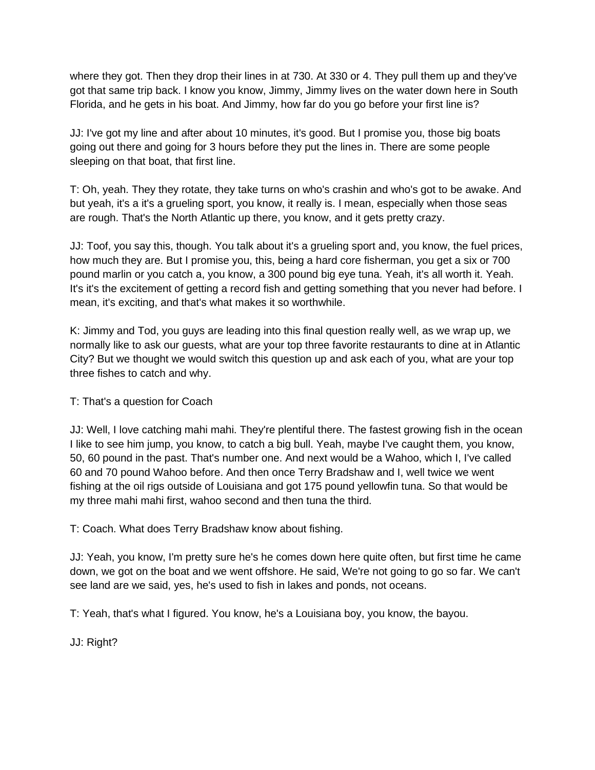where they got. Then they drop their lines in at 730. At 330 or 4. They pull them up and they've got that same trip back. I know you know, Jimmy, Jimmy lives on the water down here in South Florida, and he gets in his boat. And Jimmy, how far do you go before your first line is?

JJ: I've got my line and after about 10 minutes, it's good. But I promise you, those big boats going out there and going for 3 hours before they put the lines in. There are some people sleeping on that boat, that first line.

T: Oh, yeah. They they rotate, they take turns on who's crashin and who's got to be awake. And but yeah, it's a it's a grueling sport, you know, it really is. I mean, especially when those seas are rough. That's the North Atlantic up there, you know, and it gets pretty crazy.

JJ: Toof, you say this, though. You talk about it's a grueling sport and, you know, the fuel prices, how much they are. But I promise you, this, being a hard core fisherman, you get a six or 700 pound marlin or you catch a, you know, a 300 pound big eye tuna. Yeah, it's all worth it. Yeah. It's it's the excitement of getting a record fish and getting something that you never had before. I mean, it's exciting, and that's what makes it so worthwhile.

K: Jimmy and Tod, you guys are leading into this final question really well, as we wrap up, we normally like to ask our guests, what are your top three favorite restaurants to dine at in Atlantic City? But we thought we would switch this question up and ask each of you, what are your top three fishes to catch and why.

## T: That's a question for Coach

JJ: Well, I love catching mahi mahi. They're plentiful there. The fastest growing fish in the ocean I like to see him jump, you know, to catch a big bull. Yeah, maybe I've caught them, you know, 50, 60 pound in the past. That's number one. And next would be a Wahoo, which I, I've called 60 and 70 pound Wahoo before. And then once Terry Bradshaw and I, well twice we went fishing at the oil rigs outside of Louisiana and got 175 pound yellowfin tuna. So that would be my three mahi mahi first, wahoo second and then tuna the third.

T: Coach. What does Terry Bradshaw know about fishing.

JJ: Yeah, you know, I'm pretty sure he's he comes down here quite often, but first time he came down, we got on the boat and we went offshore. He said, We're not going to go so far. We can't see land are we said, yes, he's used to fish in lakes and ponds, not oceans.

T: Yeah, that's what I figured. You know, he's a Louisiana boy, you know, the bayou.

JJ: Right?